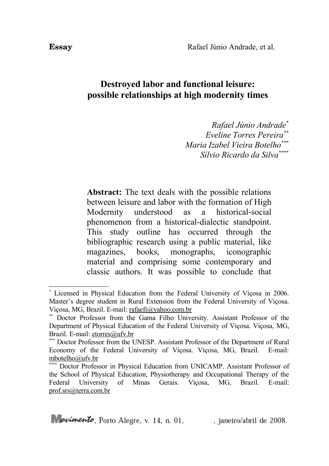## **Destroyed labor and functional leisure: possible relationships at high modernity times**

*Rafael Júnio Andrade[\\*](#page-0-0) Eveline Torres Pereira[\\*\\*](#page-0-1) Maria Izabel Vieira Botelho[\\*\\*](#page-0-2)\* Sílvio Ricardo da Silva[\\*\\*](#page-0-3)\*\**

**Abstract:** The text deals with the possible relations between leisure and labor with the formation of High Modernity understood as a historical-social phenomenon from a historical-dialectic standpoint. This study outline has occurred through the bibliographic research using a public material, like magazines, books, monographs, iconographic material and comprising some contemporary and classic authors. It was possible to conclude that

<span id="page-0-0"></span><sup>\*</sup> Licensed in Physical Education from the Federal University of Viçosa in 2006. Master's degree student in Rural Extension from the Federal University of Viçosa. Viçosa, MG, Brazil. E-mail: [rafaefi@yahoo.com.br](mailto:rafaefi@yahoo.com.br)

<span id="page-0-1"></span><sup>\*\*</sup> Doctor Professor from the Gama Filho University. Assistant Professor of the Department of Physical Education of the Federal University of Viçosa. Viçosa, MG, Brazil. E-mail: [etorres@ufv.br](mailto:etorres@ufv.br)

<span id="page-0-2"></span><sup>\*\*\*</sup> Doctor Professor from the UNESP. Assistant Professor of the Department of Rural Economy of the Federal University of Viçosa. Viçosa, MG, Brazil. E-mail: [mbotelho@ufv.br](mailto:mbotelho@ufv.br)

<span id="page-0-3"></span><sup>\*\*</sup> Doctor Professor in Physical Education from UNICAMP. Assistant Professor of the School of Physical Education, Physiotherapy and Occupational Therapy of the Federal University of Minas Gerais. Viçosa, MG, Brazil. E-mail: [prof.srs@terra.com.br](mailto:prof.srs@terra.com.br)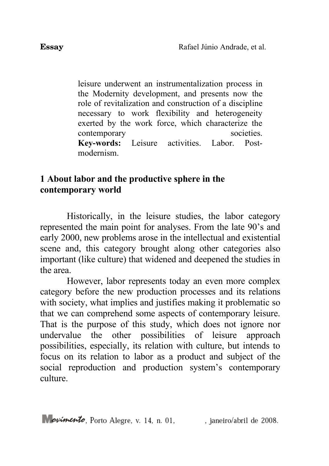leisure underwent an instrumentalization process in the Modernity development, and presents now the role of revitalization and construction of a discipline necessary to work flexibility and heterogeneity exerted by the work force, which characterize the contemporary societies. **Key-words:** Leisure activities. Labor. Postmodernism.

## **1 About labor and the productive sphere in the contemporary world**

Historically, in the leisure studies, the labor category represented the main point for analyses. From the late 90's and early 2000, new problems arose in the intellectual and existential scene and, this category brought along other categories also important (like culture) that widened and deepened the studies in the area.

However, labor represents today an even more complex category before the new production processes and its relations with society, what implies and justifies making it problematic so that we can comprehend some aspects of contemporary leisure. That is the purpose of this study, which does not ignore nor undervalue the other possibilities of leisure approach possibilities, especially, its relation with culture, but intends to focus on its relation to labor as a product and subject of the social reproduction and production system's contemporary culture.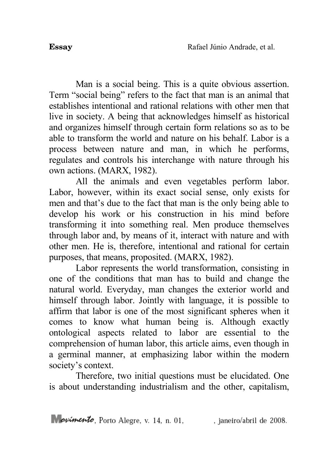Man is a social being. This is a quite obvious assertion. Term "social being" refers to the fact that man is an animal that establishes intentional and rational relations with other men that live in society. A being that acknowledges himself as historical and organizes himself through certain form relations so as to be able to transform the world and nature on his behalf. Labor is a process between nature and man, in which he performs, regulates and controls his interchange with nature through his own actions. (MARX, 1982).

All the animals and even vegetables perform labor. Labor, however, within its exact social sense, only exists for men and that's due to the fact that man is the only being able to develop his work or his construction in his mind before transforming it into something real. Men produce themselves through labor and, by means of it, interact with nature and with other men. He is, therefore, intentional and rational for certain purposes, that means, proposited. (MARX, 1982).

Labor represents the world transformation, consisting in one of the conditions that man has to build and change the natural world. Everyday, man changes the exterior world and himself through labor. Jointly with language, it is possible to affirm that labor is one of the most significant spheres when it comes to know what human being is. Although exactly ontological aspects related to labor are essential to the comprehension of human labor, this article aims, even though in a germinal manner, at emphasizing labor within the modern society's context.

Therefore, two initial questions must be elucidated. One is about understanding industrialism and the other, capitalism,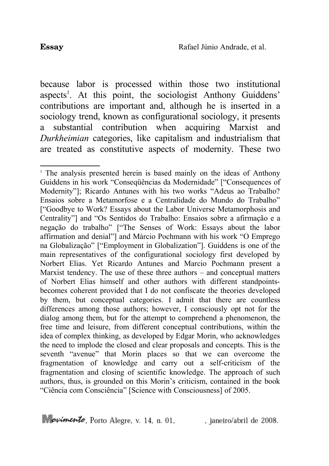because labor is processed within those two institutional aspects<sup>[1](#page-3-0)</sup>. At this point, the sociologist Anthony Guiddens' contributions are important and, although he is inserted in a sociology trend, known as configurational sociology, it presents a substantial contribution when acquiring Marxist and *Durkheimian* categories, like capitalism and industrialism that are treated as constitutive aspects of modernity. These two

<span id="page-3-0"></span><sup>&</sup>lt;sup>1</sup> The analysis presented herein is based mainly on the ideas of Anthony Guiddens in his work "Conseqüências da Modernidade" ["Consequences of Modernity"]; Ricardo Antunes with his two works "Adeus ao Trabalho? Ensaios sobre a Metamorfose e a Centralidade do Mundo do Trabalho" ["Goodbye to Work? Essays about the Labor Universe Metamorphosis and Centrality"] and "Os Sentidos do Trabalho: Ensaios sobre a afirmação e a negação do trabalho" ["The Senses of Work: Essays about the labor affirmation and denial"] and Márcio Pochmann with his work "O Emprego na Globalização" ["Employment in Globalization"]. Guiddens is one of the main representatives of the configurational sociology first developed by Norbert Elias. Yet Ricardo Antunes and Marcio Pochmann present a Marxist tendency. The use of these three authors – and conceptual matters of Norbert Elias himself and other authors with different standpointsbecomes coherent provided that I do not confiscate the theories developed by them, but conceptual categories. I admit that there are countless differences among those authors; however, I consciously opt not for the dialog among them, but for the attempt to comprehend a phenomenon, the free time and leisure, from different conceptual contributions, within the idea of complex thinking, as developed by Edgar Morin, who acknowledges the need to implode the closed and clear proposals and concepts. This is the seventh "avenue" that Morin places so that we can overcome the fragmentation of knowledge and carry out a self-criticism of the fragmentation and closing of scientific knowledge. The approach of such authors, thus, is grounded on this Morin's criticism, contained in the book "Ciência com Consciência" [Science with Consciousness] of 2005.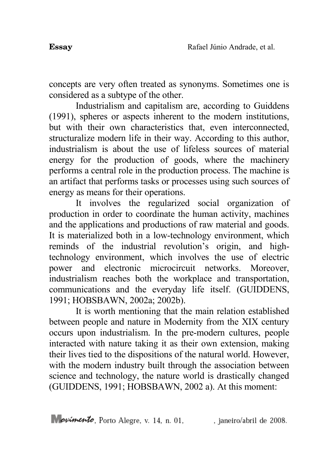concepts are very often treated as synonyms. Sometimes one is considered as a subtype of the other.

Industrialism and capitalism are, according to Guiddens (1991), spheres or aspects inherent to the modern institutions, but with their own characteristics that, even interconnected. structuralize modern life in their way. According to this author, industrialism is about the use of lifeless sources of material energy for the production of goods, where the machinery performs a central role in the production process. The machine is an artifact that performs tasks or processes using such sources of energy as means for their operations.

It involves the regularized social organization of production in order to coordinate the human activity, machines and the applications and productions of raw material and goods. It is materialized both in a low-technology environment, which reminds of the industrial revolution's origin, and hightechnology environment, which involves the use of electric power and electronic microcircuit networks. Moreover, industrialism reaches both the workplace and transportation, communications and the everyday life itself. (GUIDDENS, 1991; HOBSBAWN, 2002a; 2002b).

It is worth mentioning that the main relation established between people and nature in Modernity from the XIX century occurs upon industrialism. In the pre-modern cultures, people interacted with nature taking it as their own extension, making their lives tied to the dispositions of the natural world. However, with the modern industry built through the association between science and technology, the nature world is drastically changed (GUIDDENS, 1991; HOBSBAWN, 2002 a). At this moment: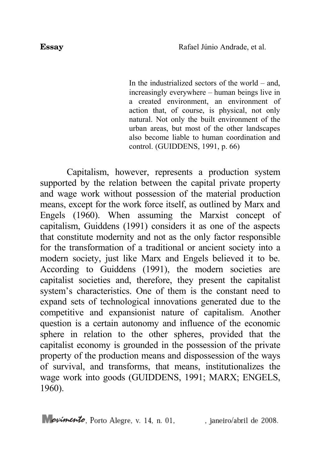In the industrialized sectors of the world – and, increasingly everywhere – human beings live in a created environment, an environment of action that, of course, is physical, not only natural. Not only the built environment of the urban areas, but most of the other landscapes also become liable to human coordination and control. (GUIDDENS, 1991, p. 66)

Capitalism, however, represents a production system supported by the relation between the capital private property and wage work without possession of the material production means, except for the work force itself, as outlined by Marx and Engels (1960). When assuming the Marxist concept of capitalism, Guiddens (1991) considers it as one of the aspects that constitute modernity and not as the only factor responsible for the transformation of a traditional or ancient society into a modern society, just like Marx and Engels believed it to be. According to Guiddens (1991), the modern societies are capitalist societies and, therefore, they present the capitalist system's characteristics. One of them is the constant need to expand sets of technological innovations generated due to the competitive and expansionist nature of capitalism. Another question is a certain autonomy and influence of the economic sphere in relation to the other spheres, provided that the capitalist economy is grounded in the possession of the private property of the production means and dispossession of the ways of survival, and transforms, that means, institutionalizes the wage work into goods (GUIDDENS, 1991; MARX; ENGELS, 1960).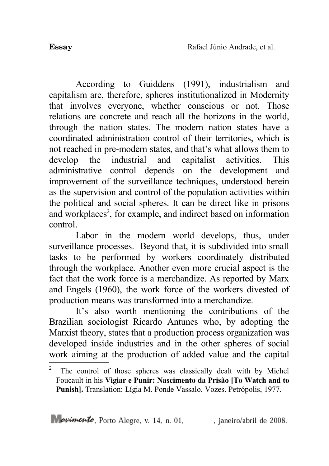According to Guiddens (1991), industrialism and capitalism are, therefore, spheres institutionalized in Modernity that involves everyone, whether conscious or not. Those relations are concrete and reach all the horizons in the world, through the nation states. The modern nation states have a coordinated administration control of their territories, which is not reached in pre-modern states, and that's what allows them to develop the industrial and capitalist activities. This administrative control depends on the development and improvement of the surveillance techniques, understood herein as the supervision and control of the population activities within the political and social spheres. It can be direct like in prisons and workplaces<sup>[2](#page-6-0)</sup>, for example, and indirect based on information control.

Labor in the modern world develops, thus, under surveillance processes. Beyond that, it is subdivided into small tasks to be performed by workers coordinately distributed through the workplace. Another even more crucial aspect is the fact that the work force is a merchandize. As reported by Marx and Engels (1960), the work force of the workers divested of production means was transformed into a merchandize.

It's also worth mentioning the contributions of the Brazilian sociologist Ricardo Antunes who, by adopting the Marxist theory, states that a production process organization was developed inside industries and in the other spheres of social work aiming at the production of added value and the capital

<span id="page-6-0"></span><sup>2</sup> The control of those spheres was classically dealt with by Michel Foucault in his **Vigiar e Punir: Nascimento da Prisão [To Watch and to Punish].** Translation: Lígia M. Ponde Vassalo. Vozes. Petrópolis, 1977.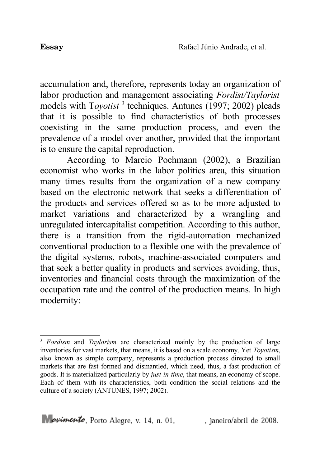accumulation and, therefore, represents today an organization of labor production and management associating *Fordist/Taylorist* models with Toyotist<sup>[3](#page-7-0)</sup> techniques. Antunes (1997; 2002) pleads that it is possible to find characteristics of both processes coexisting in the same production process, and even the prevalence of a model over another, provided that the important is to ensure the capital reproduction.

According to Marcio Pochmann (2002), a Brazilian economist who works in the labor politics area, this situation many times results from the organization of a new company based on the electronic network that seeks a differentiation of the products and services offered so as to be more adjusted to market variations and characterized by a wrangling and unregulated intercapitalist competition. According to this author, there is a transition from the rigid-automation mechanized conventional production to a flexible one with the prevalence of the digital systems, robots, machine-associated computers and that seek a better quality in products and services avoiding, thus, inventories and financial costs through the maximization of the occupation rate and the control of the production means. In high modernity:

<span id="page-7-0"></span><sup>&</sup>lt;sup>3</sup> *Fordism* and *Taylorism* are characterized mainly by the production of large inventories for vast markets, that means, it is based on a scale economy. Yet *Toyotism*, also known as simple company, represents a production process directed to small markets that are fast formed and dismantled, which need, thus, a fast production of goods. It is materialized particularly by *just-in-time*, that means, an economy of scope. Each of them with its characteristics, both condition the social relations and the culture of a society (ANTUNES, 1997; 2002).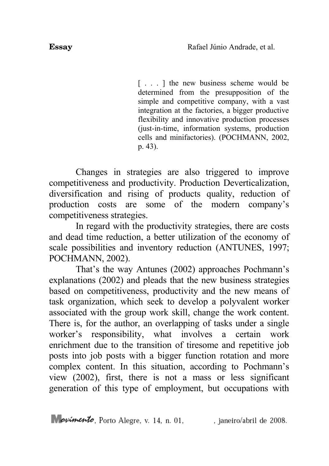[...] the new business scheme would be determined from the presupposition of the simple and competitive company, with a vast integration at the factories, a bigger productive flexibility and innovative production processes (just-in-time, information systems, production cells and minifactories). (POCHMANN, 2002, p. 43).

Changes in strategies are also triggered to improve competitiveness and productivity. Production Deverticalization, diversification and rising of products quality, reduction of production costs are some of the modern company's competitiveness strategies.

In regard with the productivity strategies, there are costs and dead time reduction, a better utilization of the economy of scale possibilities and inventory reduction (ANTUNES, 1997; POCHMANN, 2002).

That's the way Antunes (2002) approaches Pochmann's explanations (2002) and pleads that the new business strategies based on competitiveness, productivity and the new means of task organization, which seek to develop a polyvalent worker associated with the group work skill, change the work content. There is, for the author, an overlapping of tasks under a single worker's responsibility, what involves a certain work enrichment due to the transition of tiresome and repetitive job posts into job posts with a bigger function rotation and more complex content. In this situation, according to Pochmann's view (2002), first, there is not a mass or less significant generation of this type of employment, but occupations with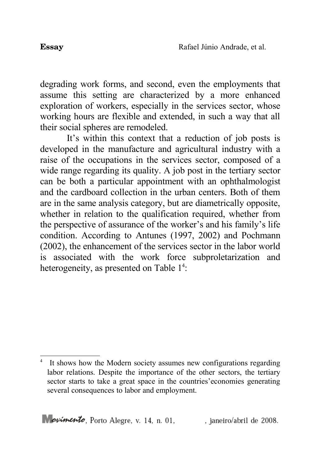degrading work forms, and second, even the employments that assume this setting are characterized by a more enhanced exploration of workers, especially in the services sector, whose working hours are flexible and extended, in such a way that all their social spheres are remodeled.

It's within this context that a reduction of job posts is developed in the manufacture and agricultural industry with a raise of the occupations in the services sector, composed of a wide range regarding its quality. A job post in the tertiary sector can be both a particular appointment with an ophthalmologist and the cardboard collection in the urban centers. Both of them are in the same analysis category, but are diametrically opposite, whether in relation to the qualification required, whether from the perspective of assurance of the worker's and his family's life condition. According to Antunes (1997, 2002) and Pochmann (2002), the enhancement of the services sector in the labor world is associated with the work force subproletarization and heterogeneity, as presented on Table 1<sup>[4](#page-9-0)</sup>:

<span id="page-9-0"></span><sup>&</sup>lt;sup>4</sup> It shows how the Modern society assumes new configurations regarding labor relations. Despite the importance of the other sectors, the tertiary sector starts to take a great space in the countries'economies generating several consequences to labor and employment.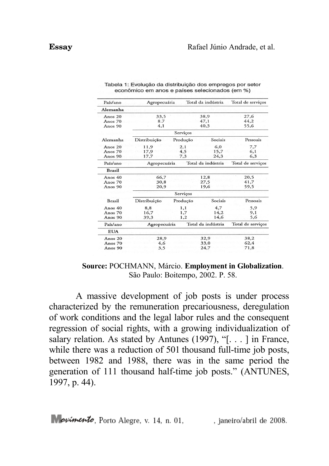| Paíslano      | Agropecuária |          | Total da indústria | Total de serviços |
|---------------|--------------|----------|--------------------|-------------------|
| Alemanha      |              |          |                    |                   |
| Anos 20       | 33.5         |          | 38,9               | 27,6              |
| Anos 70       | 8.7          |          | 47,1               | 44,2              |
| Anos 90       | 4,1          |          | 40.3               | 55,6              |
|               | Serviços     |          |                    |                   |
| Alemanha      | Distribuição | Produção | Sociais            | Pessoais          |
| Anos 20       | 11.9         | 2,1      | 6.0                | 7,7               |
| Anos 70       | 17,9         | 4.5      | 15.7               | 6.1               |
| Anos 90       | 17.7         | 7.3      | 24.3               | 6.3               |
| País/ano      | Agropecuária |          | Total da indústria | Total de serviços |
| <b>Brasil</b> |              |          |                    |                   |
| Anos 40       | 66,7         |          | 12,8               | 20,5              |
| Anos 70       | 30,8         |          | 27,5               | 41.7              |
| Anos 90       | 20,9         |          | 19.6               | 59.5              |
|               |              | Serviços |                    |                   |
| <b>Brasil</b> | Distribuição | Produção | Sociais            | Pessoais          |
| Anos $40$     | 8,8          | 1,1      | 4,7                | 5,9               |
| Anos 70       | 16,7         | 1,7      | 14,2               | 9,1               |
| Anos 90       | 39.3         | 1,2      | 14.6               | 5,6               |
| País/ano      | Agropecuária |          | Total da indústria | Total de serviços |
| <b>EUA</b>    |              |          |                    |                   |
| Anos 20       | 28,9         |          | 32,9               | 38,2              |
| Anos 70       | 4.6          |          | 33,0               | 62,4              |
| Anos 90       | 3,5          |          | 24.7               | 71,8              |

Tabela 1: Evolucão da distribuição dos empregos por setor econômico em anos e países selecionados (em %)

**Source:** POCHMANN, Márcio. **Employment in Globalization**. São Paulo: Boitempo, 2002. P. 58.

A massive development of job posts is under process characterized by the remuneration precariousness, deregulation of work conditions and the legal labor rules and the consequent regression of social rights, with a growing individualization of salary relation. As stated by Antunes (1997), "[. . . ] in France, while there was a reduction of 501 thousand full-time job posts, between 1982 and 1988, there was in the same period the generation of 111 thousand half-time job posts." (ANTUNES, 1997, p. 44).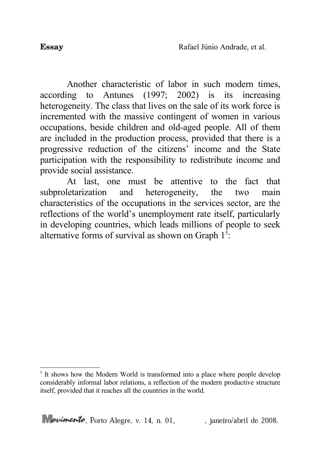Another characteristic of labor in such modern times, according to Antunes (1997; 2002) is its increasing heterogeneity. The class that lives on the sale of its work force is incremented with the massive contingent of women in various occupations, beside children and old-aged people. All of them are included in the production process, provided that there is a progressive reduction of the citizens' income and the State participation with the responsibility to redistribute income and provide social assistance.

At last, one must be attentive to the fact that subproletarization and heterogeneity, the two main characteristics of the occupations in the services sector, are the reflections of the world's unemployment rate itself, particularly in developing countries, which leads millions of people to seek alternative forms of survival as shown on Graph  $1<sup>5</sup>$  $1<sup>5</sup>$  $1<sup>5</sup>$ :

<span id="page-11-0"></span><sup>&</sup>lt;sup>5</sup> It shows how the Modern World is transformed into a place where people develop considerably informal labor relations, a reflection of the modern productive structure itself, provided that it reaches all the countries in the world.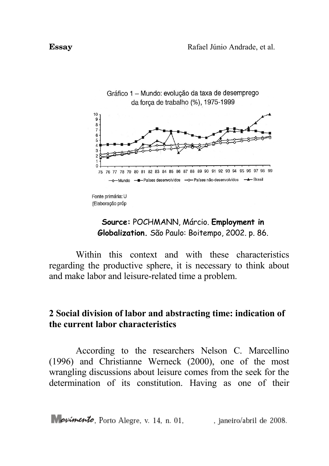

# **Source:** POCHMANN, Márcio. **Employment in Globalization.** São Paulo: Boitempo, 2002. p. 86.

Within this context and with these characteristics regarding the productive sphere, it is necessary to think about and make labor and leisure-related time a problem.

# **2 Social division of labor and abstracting time: indication of the current labor characteristics**

According to the researchers Nelson C. Marcellino (1996) and Christianne Werneck (2000), one of the most wrangling discussions about leisure comes from the seek for the determination of its constitution. Having as one of their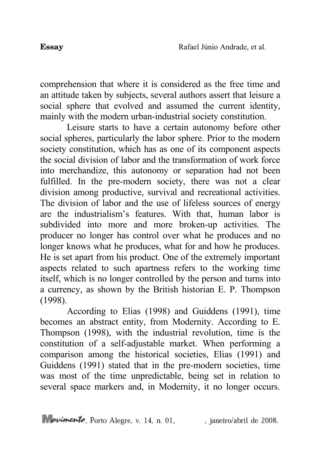comprehension that where it is considered as the free time and an attitude taken by subjects, several authors assert that leisure a social sphere that evolved and assumed the current identity, mainly with the modern urban-industrial society constitution.

Leisure starts to have a certain autonomy before other social spheres, particularly the labor sphere. Prior to the modern society constitution, which has as one of its component aspects the social division of labor and the transformation of work force into merchandize, this autonomy or separation had not been fulfilled. In the pre-modern society, there was not a clear division among productive, survival and recreational activities. The division of labor and the use of lifeless sources of energy are the industrialism's features. With that, human labor is subdivided into more and more broken-up activities. The producer no longer has control over what he produces and no longer knows what he produces, what for and how he produces. He is set apart from his product. One of the extremely important aspects related to such apartness refers to the working time itself, which is no longer controlled by the person and turns into a currency, as shown by the British historian E. P. Thompson (1998).

According to Elias (1998) and Guiddens (1991), time becomes an abstract entity, from Modernity. According to E. Thompson (1998), with the industrial revolution, time is the constitution of a self-adjustable market. When performing a comparison among the historical societies, Elias (1991) and Guiddens (1991) stated that in the pre-modern societies, time was most of the time unpredictable, being set in relation to several space markers and, in Modernity, it no longer occurs.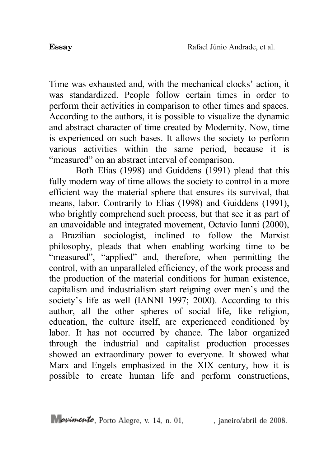Time was exhausted and, with the mechanical clocks' action, it was standardized. People follow certain times in order to perform their activities in comparison to other times and spaces. According to the authors, it is possible to visualize the dynamic and abstract character of time created by Modernity. Now, time is experienced on such bases. It allows the society to perform various activities within the same period, because it is "measured" on an abstract interval of comparison.

Both Elias (1998) and Guiddens (1991) plead that this fully modern way of time allows the society to control in a more efficient way the material sphere that ensures its survival, that means, labor. Contrarily to Elias (1998) and Guiddens (1991), who brightly comprehend such process, but that see it as part of an unavoidable and integrated movement, Octavio Ianni (2000), a Brazilian sociologist, inclined to follow the Marxist philosophy, pleads that when enabling working time to be "measured", "applied" and, therefore, when permitting the control, with an unparalleled efficiency, of the work process and the production of the material conditions for human existence, capitalism and industrialism start reigning over men's and the society's life as well (IANNI 1997; 2000). According to this author, all the other spheres of social life, like religion, education, the culture itself, are experienced conditioned by labor. It has not occurred by chance. The labor organized through the industrial and capitalist production processes showed an extraordinary power to everyone. It showed what Marx and Engels emphasized in the XIX century, how it is possible to create human life and perform constructions,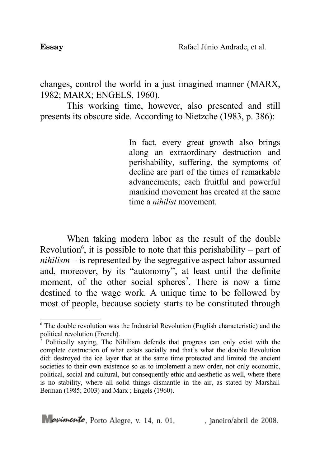changes, control the world in a just imagined manner (MARX, 1982; MARX; ENGELS, 1960).

This working time, however, also presented and still presents its obscure side. According to Nietzche (1983, p. 386):

> In fact, every great growth also brings along an extraordinary destruction and perishability, suffering, the symptoms of decline are part of the times of remarkable advancements; each fruitful and powerful mankind movement has created at the same time a *nihilist* movement.

When taking modern labor as the result of the double Revolution<sup>[6](#page-15-0)</sup>, it is possible to note that this perishability – part of *nihilism* – is represented by the segregative aspect labor assumed and, moreover, by its "autonomy", at least until the definite moment, of the other social spheres<sup>[7](#page-15-1)</sup>. There is now a time destined to the wage work. A unique time to be followed by most of people, because society starts to be constituted through

<span id="page-15-0"></span><sup>&</sup>lt;sup>6</sup> The double revolution was the Industrial Revolution (English characteristic) and the political revolution (French).

<span id="page-15-1"></span><sup>7</sup> Politically saying, The Nihilism defends that progress can only exist with the complete destruction of what exists socially and that's what the double Revolution did: destroyed the ice layer that at the same time protected and limited the ancient societies to their own existence so as to implement a new order, not only economic, political, social and cultural, but consequently ethic and aesthetic as well, where there is no stability, where all solid things dismantle in the air, as stated by Marshall Berman (1985; 2003) and Marx ; Engels (1960).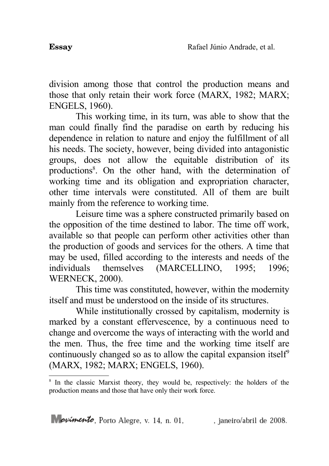division among those that control the production means and those that only retain their work force (MARX, 1982; MARX; ENGELS, 1960).

This working time, in its turn, was able to show that the man could finally find the paradise on earth by reducing his dependence in relation to nature and enjoy the fulfillment of all his needs. The society, however, being divided into antagonistic groups, does not allow the equitable distribution of its productions<sup>[8](#page-16-0)</sup>. On the other hand, with the determination of working time and its obligation and expropriation character, other time intervals were constituted. All of them are built mainly from the reference to working time.

Leisure time was a sphere constructed primarily based on the opposition of the time destined to labor. The time off work, available so that people can perform other activities other than the production of goods and services for the others. A time that may be used, filled according to the interests and needs of the individuals themselves (MARCELLINO, 1995; 1996; WERNECK, 2000).

This time was constituted, however, within the modernity itself and must be understood on the inside of its structures.

While institutionally crossed by capitalism, modernity is marked by a constant effervescence, by a continuous need to change and overcome the ways of interacting with the world and the men. Thus, the free time and the working time itself are continuously changed so as to allow the capital expansion itself<sup>[9](#page-17-0)</sup> (MARX, 1982; MARX; ENGELS, 1960).

<span id="page-16-0"></span><sup>&</sup>lt;sup>8</sup> In the classic Marxist theory, they would be, respectively: the holders of the production means and those that have only their work force.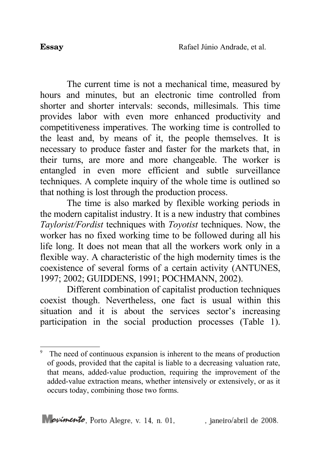The current time is not a mechanical time, measured by hours and minutes, but an electronic time controlled from shorter and shorter intervals: seconds, millesimals. This time provides labor with even more enhanced productivity and competitiveness imperatives. The working time is controlled to the least and, by means of it, the people themselves. It is necessary to produce faster and faster for the markets that, in their turns, are more and more changeable. The worker is entangled in even more efficient and subtle surveillance techniques. A complete inquiry of the whole time is outlined so that nothing is lost through the production process.

The time is also marked by flexible working periods in the modern capitalist industry. It is a new industry that combines *Taylorist/Fordist* techniques with *Toyotist* techniques. Now, the worker has no fixed working time to be followed during all his life long. It does not mean that all the workers work only in a flexible way. A characteristic of the high modernity times is the coexistence of several forms of a certain activity (ANTUNES, 1997; 2002; GUIDDENS, 1991; POCHMANN, 2002).

Different combination of capitalist production techniques coexist though. Nevertheless, one fact is usual within this situation and it is about the services sector's increasing participation in the social production processes (Table 1).

<span id="page-17-0"></span><sup>9</sup> The need of continuous expansion is inherent to the means of production of goods, provided that the capital is liable to a decreasing valuation rate, that means, added-value production, requiring the improvement of the added-value extraction means, whether intensively or extensively, or as it occurs today, combining those two forms.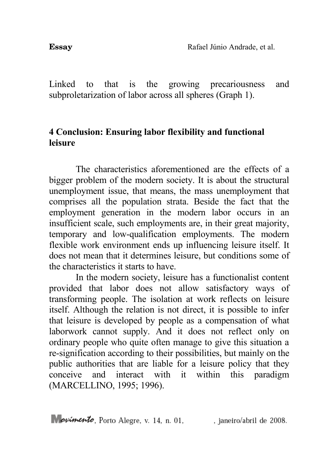Linked to that is the growing precariousness and subproletarization of labor across all spheres (Graph 1).

# **4 Conclusion: Ensuring labor flexibility and functional leisure**

The characteristics aforementioned are the effects of a bigger problem of the modern society. It is about the structural unemployment issue, that means, the mass unemployment that comprises all the population strata. Beside the fact that the employment generation in the modern labor occurs in an insufficient scale, such employments are, in their great majority, temporary and low-qualification employments. The modern flexible work environment ends up influencing leisure itself. It does not mean that it determines leisure, but conditions some of the characteristics it starts to have.

In the modern society, leisure has a functionalist content provided that labor does not allow satisfactory ways of transforming people. The isolation at work reflects on leisure itself. Although the relation is not direct, it is possible to infer that leisure is developed by people as a compensation of what laborwork cannot supply. And it does not reflect only on ordinary people who quite often manage to give this situation a re-signification according to their possibilities, but mainly on the public authorities that are liable for a leisure policy that they conceive and interact with it within this paradigm (MARCELLINO, 1995; 1996).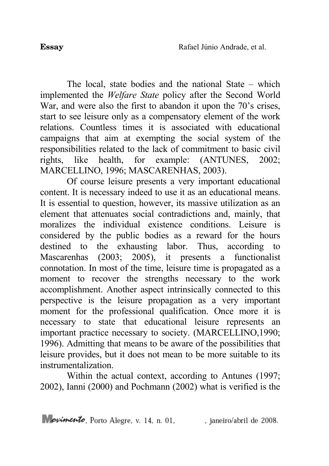The local, state bodies and the national State – which implemented the *Welfare State* policy after the Second World War, and were also the first to abandon it upon the 70's crises, start to see leisure only as a compensatory element of the work relations. Countless times it is associated with educational campaigns that aim at exempting the social system of the responsibilities related to the lack of commitment to basic civil rights, like health, for example: (ANTUNES, 2002; MARCELLINO, 1996; MASCARENHAS, 2003).

Of course leisure presents a very important educational content. It is necessary indeed to use it as an educational means. It is essential to question, however, its massive utilization as an element that attenuates social contradictions and, mainly, that moralizes the individual existence conditions. Leisure is considered by the public bodies as a reward for the hours destined to the exhausting labor. Thus, according to Mascarenhas (2003; 2005), it presents a functionalist connotation. In most of the time, leisure time is propagated as a moment to recover the strengths necessary to the work accomplishment. Another aspect intrinsically connected to this perspective is the leisure propagation as a very important moment for the professional qualification. Once more it is necessary to state that educational leisure represents an important practice necessary to society. (MARCELLINO,1990; 1996). Admitting that means to be aware of the possibilities that leisure provides, but it does not mean to be more suitable to its instrumentalization.

Within the actual context, according to Antunes (1997; 2002), Ianni (2000) and Pochmann (2002) what is verified is the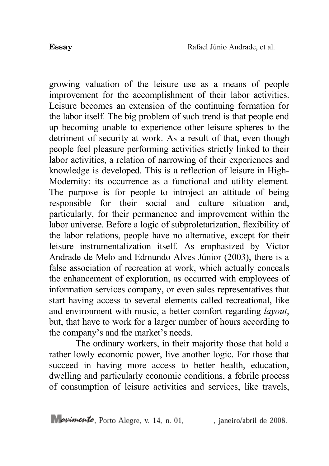growing valuation of the leisure use as a means of people improvement for the accomplishment of their labor activities. Leisure becomes an extension of the continuing formation for the labor itself. The big problem of such trend is that people end up becoming unable to experience other leisure spheres to the detriment of security at work. As a result of that, even though people feel pleasure performing activities strictly linked to their labor activities, a relation of narrowing of their experiences and knowledge is developed. This is a reflection of leisure in High-Modernity: its occurrence as a functional and utility element. The purpose is for people to introject an attitude of being responsible for their social and culture situation and, particularly, for their permanence and improvement within the labor universe. Before a logic of subproletarization, flexibility of the labor relations, people have no alternative, except for their leisure instrumentalization itself. As emphasized by Victor Andrade de Melo and Edmundo Alves Júnior (2003), there is a false association of recreation at work, which actually conceals the enhancement of exploration, as occurred with employees of information services company, or even sales representatives that start having access to several elements called recreational, like and environment with music, a better comfort regarding *layout*, but, that have to work for a larger number of hours according to the company's and the market's needs.

The ordinary workers, in their majority those that hold a rather lowly economic power, live another logic. For those that succeed in having more access to better health, education, dwelling and particularly economic conditions, a febrile process of consumption of leisure activities and services, like travels,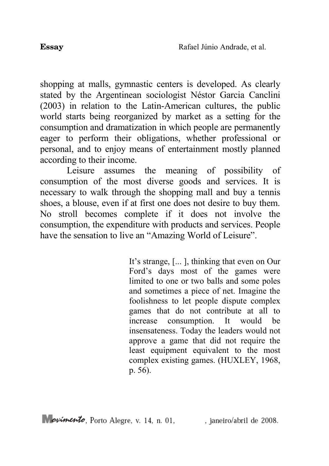shopping at malls, gymnastic centers is developed. As clearly stated by the Argentinean sociologist Néstor Garcia Canclini (2003) in relation to the Latin-American cultures, the public world starts being reorganized by market as a setting for the consumption and dramatization in which people are permanently eager to perform their obligations, whether professional or personal, and to enjoy means of entertainment mostly planned according to their income.

Leisure assumes the meaning of possibility of consumption of the most diverse goods and services. It is necessary to walk through the shopping mall and buy a tennis shoes, a blouse, even if at first one does not desire to buy them. No stroll becomes complete if it does not involve the consumption, the expenditure with products and services. People have the sensation to live an "Amazing World of Leisure".

> It's strange, [... ], thinking that even on Our Ford's days most of the games were limited to one or two balls and some poles and sometimes a piece of net. Imagine the foolishness to let people dispute complex games that do not contribute at all to increase consumption. It would be insensateness. Today the leaders would not approve a game that did not require the least equipment equivalent to the most complex existing games. (HUXLEY, 1968, p. 56).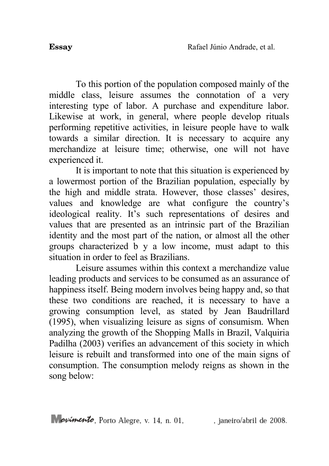To this portion of the population composed mainly of the middle class, leisure assumes the connotation of a very interesting type of labor. A purchase and expenditure labor. Likewise at work, in general, where people develop rituals performing repetitive activities, in leisure people have to walk towards a similar direction. It is necessary to acquire any merchandize at leisure time; otherwise, one will not have experienced it.

It is important to note that this situation is experienced by a lowermost portion of the Brazilian population, especially by the high and middle strata. However, those classes' desires, values and knowledge are what configure the country's ideological reality. It's such representations of desires and values that are presented as an intrinsic part of the Brazilian identity and the most part of the nation, or almost all the other groups characterized b y a low income, must adapt to this situation in order to feel as Brazilians.

Leisure assumes within this context a merchandize value leading products and services to be consumed as an assurance of happiness itself. Being modern involves being happy and, so that these two conditions are reached, it is necessary to have a growing consumption level, as stated by Jean Baudrillard (1995), when visualizing leisure as signs of consumism. When analyzing the growth of the Shopping Malls in Brazil, Valquiria Padilha (2003) verifies an advancement of this society in which leisure is rebuilt and transformed into one of the main signs of consumption. The consumption melody reigns as shown in the song below: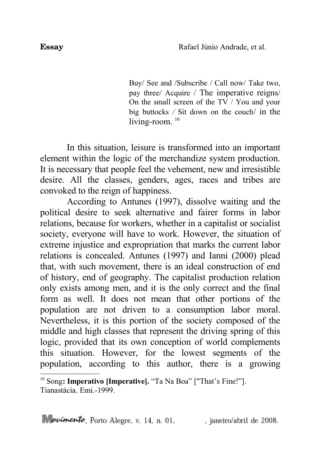Buy/ See and /Subscribe / Call now/ Take two, pay three/ Acquire / The imperative reigns/ On the small screen of the TV / You and your big buttocks */* Sit down on the couch/ in the living-room.<sup>[10](#page-23-0)</sup>

In this situation, leisure is transformed into an important element within the logic of the merchandize system production. It is necessary that people feel the vehement, new and irresistible desire. All the classes, genders, ages, races and tribes are convoked to the reign of happiness.

According to Antunes (1997), dissolve waiting and the political desire to seek alternative and fairer forms in labor relations, because for workers, whether in a capitalist or socialist society, everyone will have to work. However, the situation of extreme injustice and expropriation that marks the current labor relations is concealed. Antunes (1997) and Ianni (2000) plead that, with such movement, there is an ideal construction of end of history, end of geography. The capitalist production relation only exists among men, and it is the only correct and the final form as well. It does not mean that other portions of the population are not driven to a consumption labor moral. Nevertheless, it is this portion of the society composed of the middle and high classes that represent the driving spring of this logic, provided that its own conception of world complements this situation. However, for the lowest segments of the population, according to this author, there is a growing

<span id="page-23-0"></span><sup>&</sup>lt;sup>10</sup> Song: **Imperativo [Imperative].** "Ta Na Boa" ["That's Fine!"]. Tianastácia. Emi.-1999.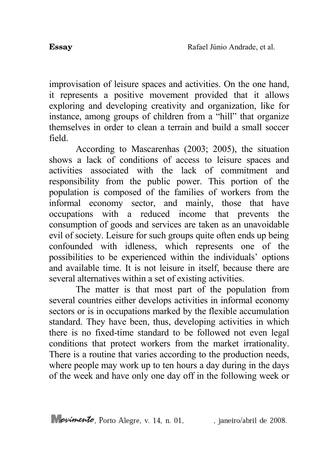improvisation of leisure spaces and activities. On the one hand, it represents a positive movement provided that it allows exploring and developing creativity and organization, like for instance, among groups of children from a "hill" that organize themselves in order to clean a terrain and build a small soccer field.

According to Mascarenhas (2003; 2005), the situation shows a lack of conditions of access to leisure spaces and activities associated with the lack of commitment and responsibility from the public power. This portion of the population is composed of the families of workers from the informal economy sector, and mainly, those that have occupations with a reduced income that prevents the consumption of goods and services are taken as an unavoidable evil of society. Leisure for such groups quite often ends up being confounded with idleness, which represents one of the possibilities to be experienced within the individuals' options and available time. It is not leisure in itself, because there are several alternatives within a set of existing activities.

The matter is that most part of the population from several countries either develops activities in informal economy sectors or is in occupations marked by the flexible accumulation standard. They have been, thus, developing activities in which there is no fixed-time standard to be followed not even legal conditions that protect workers from the market irrationality. There is a routine that varies according to the production needs, where people may work up to ten hours a day during in the days of the week and have only one day off in the following week or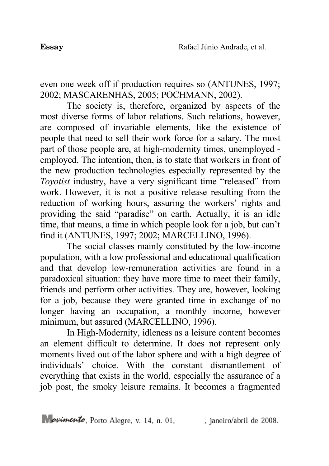even one week off if production requires so (ANTUNES, 1997; 2002; MASCARENHAS, 2005; POCHMANN, 2002).

The society is, therefore, organized by aspects of the most diverse forms of labor relations. Such relations, however, are composed of invariable elements, like the existence of people that need to sell their work force for a salary. The most part of those people are, at high-modernity times, unemployed employed. The intention, then, is to state that workers in front of the new production technologies especially represented by the *Toyotist* industry, have a very significant time "released" from work. However, it is not a positive release resulting from the reduction of working hours, assuring the workers' rights and providing the said "paradise" on earth. Actually, it is an idle time, that means, a time in which people look for a job, but can't find it (ANTUNES, 1997; 2002; MARCELLINO, 1996).

The social classes mainly constituted by the low-income population, with a low professional and educational qualification and that develop low-remuneration activities are found in a paradoxical situation: they have more time to meet their family, friends and perform other activities. They are, however, looking for a job, because they were granted time in exchange of no longer having an occupation, a monthly income, however minimum, but assured (MARCELLINO, 1996).

In High-Modernity, idleness as a leisure content becomes an element difficult to determine. It does not represent only moments lived out of the labor sphere and with a high degree of individuals' choice. With the constant dismantlement of everything that exists in the world, especially the assurance of a job post, the smoky leisure remains. It becomes a fragmented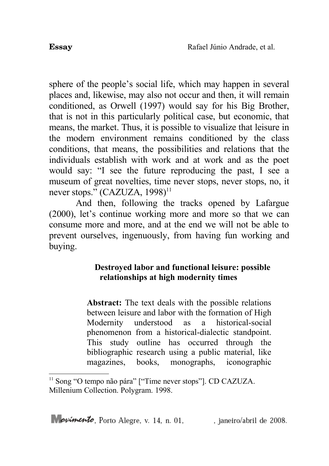sphere of the people's social life, which may happen in several places and, likewise, may also not occur and then, it will remain conditioned, as Orwell (1997) would say for his Big Brother, that is not in this particularly political case, but economic, that means, the market. Thus, it is possible to visualize that leisure in the modern environment remains conditioned by the class conditions, that means, the possibilities and relations that the individuals establish with work and at work and as the poet would say: "I see the future reproducing the past, I see a museum of great novelties, time never stops, never stops, no, it never stops."  $(CAZUZA, 1998)^{11}$  $(CAZUZA, 1998)^{11}$  $(CAZUZA, 1998)^{11}$ 

And then, following the tracks opened by Lafargue (2000), let's continue working more and more so that we can consume more and more, and at the end we will not be able to prevent ourselves, ingenuously, from having fun working and buying.

### **Destroyed labor and functional leisure: possible relationships at high modernity times**

**Abstract:** The text deals with the possible relations between leisure and labor with the formation of High Modernity understood as a historical-social phenomenon from a historical-dialectic standpoint. This study outline has occurred through the bibliographic research using a public material, like magazines, books, monographs, iconographic

<span id="page-26-0"></span><sup>&</sup>lt;sup>11</sup> Song "O tempo não pára" ["Time never stops"]. CD CAZUZA. Millenium Collection. Polygram. 1998.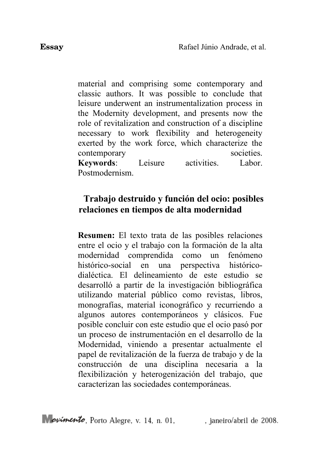material and comprising some contemporary and classic authors. It was possible to conclude that leisure underwent an instrumentalization process in the Modernity development, and presents now the role of revitalization and construction of a discipline necessary to work flexibility and heterogeneity exerted by the work force, which characterize the contemporary societies. **Keywords**: Leisure activities. Labor. Postmodernism.

## **Trabajo destruido y función del ocio: posibles relaciones en tiempos de alta modernidad**

**Resumen:** El texto trata de las posibles relaciones entre el ocio y el trabajo con la formación de la alta modernidad comprendida como un fenómeno histórico-social en una perspectiva históricodialéctica. El delineamiento de este estudio se desarrolló a partir de la investigación bibliográfica utilizando material público como revistas, libros, monografías, material iconográfico y recurriendo a algunos autores contemporáneos y clásicos. Fue posible concluir con este estudio que el ocio pasó por un proceso de instrumentación en el desarrollo de la Modernidad, viniendo a presentar actualmente el papel de revitalización de la fuerza de trabajo y de la construcción de una disciplina necesaria a la flexibilización y heterogenización del trabajo, que caracterizan las sociedades contemporáneas.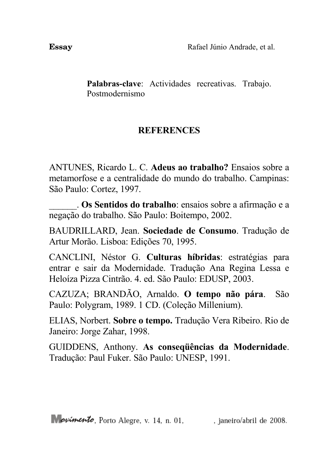**Palabras-clave**: Actividades recreativas. Trabajo. Postmodernismo

# **REFERENCES**

ANTUNES, Ricardo L. C. **Adeus ao trabalho?** Ensaios sobre a metamorfose e a centralidade do mundo do trabalho. Campinas: São Paulo: Cortez, 1997.

\_\_\_\_\_\_. **Os Sentidos do trabalho**: ensaios sobre a afirmação e a negação do trabalho. São Paulo: Boitempo, 2002.

BAUDRILLARD, Jean. **Sociedade de Consumo**. Tradução de Artur Morão. Lisboa: Edições 70, 1995.

CANCLINI, Néstor G. **Culturas híbridas**: estratégias para entrar e sair da Modernidade. Tradução Ana Regina Lessa e Heloíza Pizza Cintrão. 4. ed. São Paulo: EDUSP, 2003.

CAZUZA; BRANDÃO, Arnaldo. **O tempo não pára**. São Paulo: Polygram, 1989. 1 CD. (Coleção Millenium).

ELIAS, Norbert. **Sobre o tempo.** Tradução Vera Ribeiro. Rio de Janeiro: Jorge Zahar, 1998.

GUIDDENS, Anthony. **As conseqüências da Modernidade**. Tradução: Paul Fuker. São Paulo: UNESP, 1991.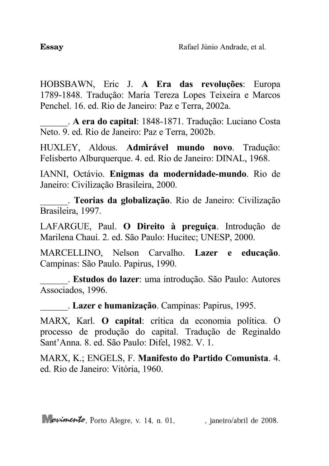HOBSBAWN, Eric J. **A Era das revoluções**: Europa 1789-1848. Tradução: Maria Tereza Lopes Teixeira e Marcos Penchel. 16. ed. Rio de Janeiro: Paz e Terra, 2002a.

\_\_\_\_\_\_. **A era do capital**: 1848-1871. Tradução: Luciano Costa Neto. 9. ed. Rio de Janeiro: Paz e Terra, 2002b.

HUXLEY, Aldous. **Admirável mundo novo**. Tradução: Felisberto Alburquerque. 4. ed. Rio de Janeiro: DINAL, 1968.

IANNI, Octávio. **Enigmas da modernidade-mundo**. Rio de Janeiro: Civilização Brasileira, 2000.

\_\_\_\_\_\_. **Teorias da globalização**. Rio de Janeiro: Civilização Brasileira, 1997.

LAFARGUE, Paul. **O Direito à preguiça**. Introdução de Marilena Chauí. 2. ed. São Paulo: Hucitec; UNESP, 2000.

MARCELLINO, Nelson Carvalho. **Lazer e educação**. Campinas: São Paulo. Papirus, 1990.

\_\_\_\_\_\_. **Estudos do lazer**: uma introdução. São Paulo: Autores Associados, 1996.

\_\_\_\_\_\_. **Lazer e humanização**. Campinas: Papirus, 1995.

MARX, Karl. **O capital**: crítica da economia política. O processo de produção do capital. Tradução de Reginaldo Sant'Anna. 8. ed. São Paulo: Difel, 1982. V. 1.

MARX, K.; ENGELS, F. **Manifesto do Partido Comunista**. 4. ed. Rio de Janeiro: Vitória, 1960.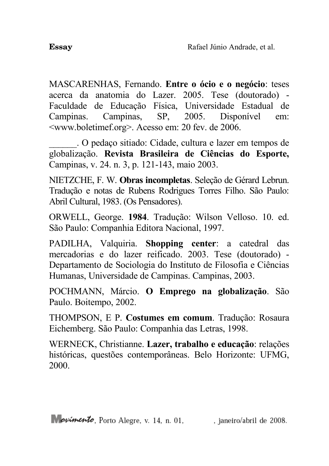MASCARENHAS, Fernando. **Entre o ócio e o negócio**: teses acerca da anatomia do Lazer. 2005. Tese (doutorado) - Faculdade de Educação Física, Universidade Estadual de Campinas. Campinas, SP, 2005. Disponível em: <www.boletimef.org>. Acesso em: 20 fev. de 2006.

\_\_\_\_\_\_. O pedaço sitiado: Cidade, cultura e lazer em tempos de globalização. **Revista Brasileira de Ciências do Esporte,** Campinas, v. 24. n. 3, p. 121-143, maio 2003.

NIETZCHE, F. W. **Obras incompletas**. Seleção de Gérard Lebrun. Tradução e notas de Rubens Rodrigues Torres Filho. São Paulo: Abril Cultural, 1983. (Os Pensadores).

ORWELL, George. **1984**. Tradução: Wilson Velloso. 10. ed. São Paulo: Companhia Editora Nacional, 1997.

PADILHA, Valquiria. **Shopping center**: a catedral das mercadorias e do lazer reificado. 2003. Tese (doutorado) - Departamento de Sociologia do Instituto de Filosofia e Ciências Humanas, Universidade de Campinas. Campinas, 2003.

POCHMANN, Márcio. **O Emprego na globalização**. São Paulo. Boitempo, 2002.

THOMPSON, E P. **Costumes em comum**. Tradução: Rosaura Eichemberg. São Paulo: Companhia das Letras, 1998.

WERNECK, Christianne. **Lazer, trabalho e educação**: relações históricas, questões contemporâneas. Belo Horizonte: UFMG, 2000.